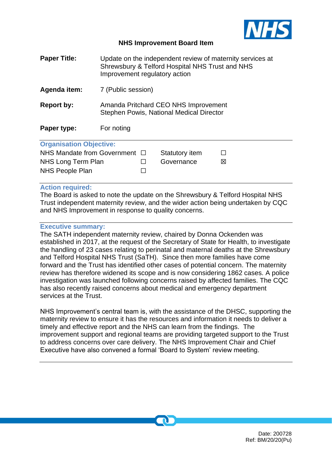

#### **NHS Improvement Board Item**

| <b>Paper Title:</b>            | Update on the independent review of maternity services at<br>Shrewsbury & Telford Hospital NHS Trust and NHS<br>Improvement regulatory action |  |                |   |  |
|--------------------------------|-----------------------------------------------------------------------------------------------------------------------------------------------|--|----------------|---|--|
| Agenda item:                   | 7 (Public session)                                                                                                                            |  |                |   |  |
| Report by:                     | Amanda Pritchard CEO NHS Improvement<br>Stephen Powis, National Medical Director                                                              |  |                |   |  |
| Paper type:                    | For noting                                                                                                                                    |  |                |   |  |
| <b>Organisation Objective:</b> |                                                                                                                                               |  |                |   |  |
| NHS Mandate from Government □  |                                                                                                                                               |  | Statutory item | L |  |
| NHS Long Term Plan             |                                                                                                                                               |  | Governance     | ⊠ |  |

#### **Action required:**

NHS People Plan □

The Board is asked to note the update on the Shrewsbury & Telford Hospital NHS Trust independent maternity review, and the wider action being undertaken by CQC and NHS Improvement in response to quality concerns.

#### **Executive summary:**

The SATH independent maternity review, chaired by Donna Ockenden was established in 2017, at the request of the Secretary of State for Health, to investigate the handling of 23 cases relating to perinatal and maternal deaths at the Shrewsbury and Telford Hospital NHS Trust (SaTH). Since then more families have come forward and the Trust has identified other cases of potential concern. The maternity review has therefore widened its scope and is now considering 1862 cases. A police investigation was launched following concerns raised by affected families. The CQC has also recently raised concerns about medical and emergency department services at the Trust.

NHS Improvement's central team is, with the assistance of the DHSC, supporting the maternity review to ensure it has the resources and information it needs to deliver a timely and effective report and the NHS can learn from the findings. The improvement support and regional teams are providing targeted support to the Trust to address concerns over care delivery. The NHS Improvement Chair and Chief Executive have also convened a formal 'Board to System' review meeting.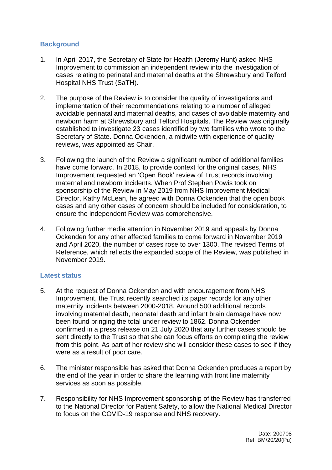# **Background**

- 1. In April 2017, the Secretary of State for Health (Jeremy Hunt) asked NHS Improvement to commission an independent review into the investigation of cases relating to perinatal and maternal deaths at the Shrewsbury and Telford Hospital NHS Trust (SaTH).
- 2. The purpose of the Review is to consider the quality of investigations and implementation of their recommendations relating to a number of alleged avoidable perinatal and maternal deaths, and cases of avoidable maternity and newborn harm at Shrewsbury and Telford Hospitals. The Review was originally established to investigate 23 cases identified by two families who wrote to the Secretary of State. Donna Ockenden, a midwife with experience of quality reviews, was appointed as Chair.
- 3. Following the launch of the Review a significant number of additional families have come forward. In 2018, to provide context for the original cases, NHS Improvement requested an 'Open Book' review of Trust records involving maternal and newborn incidents. When Prof Stephen Powis took on sponsorship of the Review in May 2019 from NHS Improvement Medical Director, Kathy McLean, he agreed with Donna Ockenden that the open book cases and any other cases of concern should be included for consideration, to ensure the independent Review was comprehensive.
- 4. Following further media attention in November 2019 and appeals by Donna Ockenden for any other affected families to come forward in November 2019 and April 2020, the number of cases rose to over 1300. The revised Terms of Reference, which reflects the expanded scope of the Review, was published in November 2019.

# **Latest status**

- 5. At the request of Donna Ockenden and with encouragement from NHS Improvement, the Trust recently searched its paper records for any other maternity incidents between 2000-2018. Around 500 additional records involving maternal death, neonatal death and infant brain damage have now been found bringing the total under review to 1862. Donna Ockenden confirmed in a press release on 21 July 2020 that any further cases should be sent directly to the Trust so that she can focus efforts on completing the review from this point. As part of her review she will consider these cases to see if they were as a result of poor care.
- 6. The minister responsible has asked that Donna Ockenden produces a report by the end of the year in order to share the learning with front line maternity services as soon as possible.
- 7. Responsibility for NHS Improvement sponsorship of the Review has transferred to the National Director for Patient Safety, to allow the National Medical Director to focus on the COVID-19 response and NHS recovery.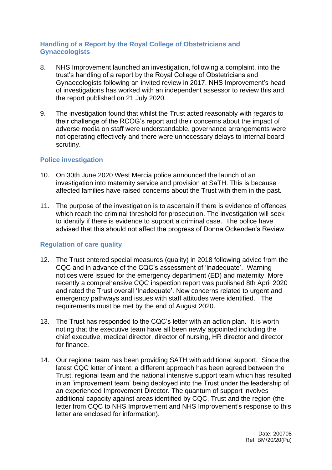# **Handling of a Report by the Royal College of Obstetricians and Gynaecologists**

- 8. NHS Improvement launched an investigation, following a complaint, into the trust's handling of a report by the Royal College of Obstetricians and Gynaecologists following an invited review in 2017. NHS Improvement's head of investigations has worked with an independent assessor to review this and the report published on 21 July 2020.
- 9. The investigation found that whilst the Trust acted reasonably with regards to their challenge of the RCOG's report and their concerns about the impact of adverse media on staff were understandable, governance arrangements were not operating effectively and there were unnecessary delays to internal board scrutiny.

#### **Police investigation**

- 10. On 30th June 2020 West Mercia police announced the launch of an investigation into maternity service and provision at SaTH. This is because affected families have raised concerns about the Trust with them in the past.
- 11. The purpose of the investigation is to ascertain if there is evidence of offences which reach the criminal threshold for prosecution. The investigation will seek to identify if there is evidence to support a criminal case. The police have advised that this should not affect the progress of Donna Ockenden's Review.

# **Regulation of care quality**

- 12. The Trust entered special measures (quality) in 2018 following advice from the CQC and in advance of the CQC's assessment of 'inadequate'. Warning notices were issued for the emergency department (ED) and maternity. More recently a comprehensive CQC inspection report was published 8th April 2020 and rated the Trust overall 'Inadequate'. New concerns related to urgent and emergency pathways and issues with staff attitudes were identified. The requirements must be met by the end of August 2020.
- 13. The Trust has responded to the CQC's letter with an action plan. It is worth noting that the executive team have all been newly appointed including the chief executive, medical director, director of nursing, HR director and director for finance.
- 14. Our regional team has been providing SATH with additional support. Since the latest CQC letter of intent, a different approach has been agreed between the Trust, regional team and the national intensive support team which has resulted in an 'improvement team' being deployed into the Trust under the leadership of an experienced Improvement Director. The quantum of support involves additional capacity against areas identified by CQC, Trust and the region (the letter from CQC to NHS Improvement and NHS Improvement's response to this letter are enclosed for information).